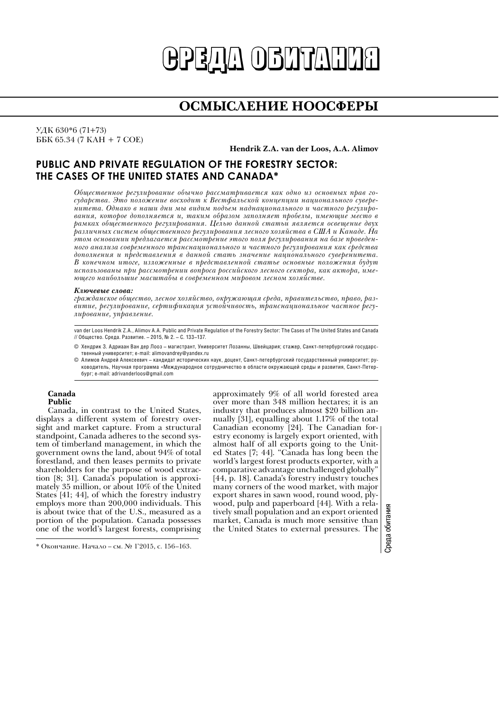# GPEAA OBNTANNA

## ОСМЫСЛЕНИЕ НООСФЕРЫ

УДК 630\*6 (71+73) **ББК 65.34 (7 КАН + 7 СОЕ)** 

Hendrik Z.A. van der Loos, A.A. Alimov

### **PUBLIC AND PRIVATE REGULATION OF THE FORESTRY SECTOR:** THE CASES OF THE UNITED STATES AND CANADA\*

Общественное регулирование обычно рассматривается как одно из основных прав государства. Это положение восходит к Вестфальской концепции национального суверенитета. Однако в наши дни мы видим подъем наднационального и частного регулирования, которое дополняется и, таким образом заполняет пробелы, имеющие место в рамках общественного регулирования. Целью данной статьи является освещение двух -<br>- различных систем общественного регулирования лесного хозяйства в США и Канаде. На этом основании предлагается рассмотрение этого поля регулирования на базе проведенного анализа современного транснационального и частного регулирования как средства дополнения и представления в данной стать значение национального суверенитета. В конечном итоге, изложенные в представленной статье основные положения будут использованы при рассмотрении вопроса российского лесного сектора, как актора, имеющего наибольшие масштабы в современном мировом лесном хозяйстве.

#### Ключевые слова:

гражданское общество, лесное хозяйство, окружающая среда, правительство, право, развитие, регулирование, сертификация устойчивость, транснациональное частное регулирование, управление.

van der Loos Hendrik Z.A., Alimov A.A. Public and Private Regulation of the Forestry Sector: The Cases of The United States and Canada // Общество. Среда. Развитие. - 2015, № 2. - С. 133-137.

- © Хендрик 3. Адриаан Ван дер Лооз магистрант, Университет Лозанны, Швейцария; стажер, Санкт-петербургский государственный университет; e-mail: alimovandrey@yandex.ru
- © Алимов Андрей Алексеевич кандидат исторических наук, доцент, Санкт-петербургский государственный университет; руководитель, Научная программа «Международное сотрудничество в области окружающей среды и развития, Санкт-Петербург; e-mail: adrivanderloos@gmail.com

#### Canada Public

Canada, in contrast to the United States, displays a different system of forestry oversight and market capture. From a structural standpoint, Canada adheres to the second system of timberland management, in which the government owns the land, about 94% of total forestland, and then leases permits to private shareholders for the purpose of wood extraction [8; 31]. Canada's population is approximately 35 million, or about 10% of the United States [41; 44], of which the forestry industry employs more than 200,000 individuals. This is about twice that of the U.S., measured as a portion of the population. Canada possesses one of the world's largest forests, comprising approximately 9% of all world forested area over more than 348 million hectares; it is an industry that produces almost \$20 billion annually [31], equalling about 1.17% of the total Canadian economy [24]. The Canadian forestry economy is largely export oriented, with almost half of all exports going to the United States [7; 44]. "Canada has long been the world's largest forest products exporter, with a comparative advantage unchallenged globally" [44, p. 18]. Canada's forestry industry touches many corners of the wood market, with major export shares in sawn wood, round wood, plywood, pulp and paperboard [44]. With a relatively small population and an export oriented market, Canada is much more sensitive than the United States to external pressures. The

<sup>\*</sup> Окончание. Начало – см. № 1'2015, с. 156-163.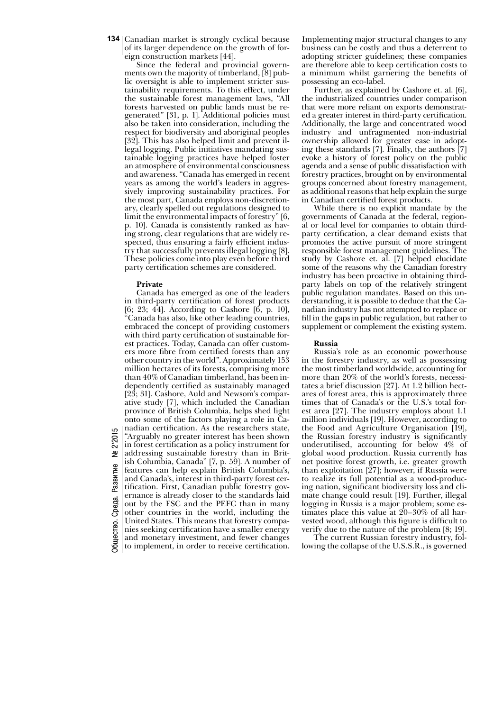**134** Canadian market is strongly cyclical because of its larger dependence on the growth of foreign construction markets [44].

Since the federal and provincial governments own the majority of timberland, [8] public oversight is able to implement stricter sustainability requirements. To this effect, under the sustainable forest management laws, "All forests harvested on public lands must be regenerated" [31, p. 1]. Additional policies must also be taken into consideration, including the respect for biodiversity and aboriginal peoples [32]. This has also helped limit and prevent illegal logging. Public initiatives mandating sustainable logging practices have helped foster an atmosphere of environmental consciousness and awareness. "Canada has emerged in recent years as among the world's leaders in aggressively improving sustainability practices. For the most part, Canada employs non-discretionary, clearly spelled out regulations designed to limit the environmental impacts of forestry" [6, p. 10]. Canada is consistently ranked as having strong, clear regulations that are widely respected, thus ensuring a fairly efficient industry that successfully prevents illegal logging [8]. These policies come into play even before third party certification schemes are considered.

#### **Private**

Canada has emerged as one of the leaders in third-party certification of forest products [6; 23; 44]. According to Cashore [6, p. 10], "Canada has also, like other leading countries, embraced the concept of providing customers with third party certification of sustainable forest practices. Today, Canada can offer customers more fibre from certified forests than any other country in the world". Approximately 153 million hectares of its forests, comprising more than 40% of Canadian timberland, has been independently certified as sustainably managed [23; 31]. Cashore, Auld and Newsom's comparative study [7], which included the Canadian province of British Columbia, helps shed light onto some of the factors playing a role in Canadian certification. As the researchers state, "Arguably no greater interest has been shown in forest certification as a policy instrument for addressing sustainable forestry than in British Columbia, Canada" [7, p. 59]. A number of features can help explain British Columbia's, and Canada's, interest in third-party forest certification. First, Canadian public forestry governance is already closer to the standards laid out by the FSC and the PEFC than in many other countries in the world, including the United States. This means that forestry companies seeking certification have a smaller energy and monetary investment, and fewer changes to implement, in order to receive certification.

Implementing major structural changes to any business can be costly and thus a deterrent to adopting stricter guidelines; these companies are therefore able to keep certification costs to a minimum whilst garnering the benefits of possessing an eco-label.

Further, as explained by Cashore et. al. [6], the industrialized countries under comparison that were more reliant on exports demonstrated a greater interest in third-party certification. Additionally, the large and concentrated wood industry and unfragmented non-industrial ownership allowed for greater ease in adopting these standards [7]. Finally, the authors [7] evoke a history of forest policy on the public agenda and a sense of public dissatisfaction with forestry practices, brought on by environmental groups concerned about forestry management, as additional reasons that help explain the surge in Canadian certified forest products.

While there is no explicit mandate by the governments of Canada at the federal, regional or local level for companies to obtain thirdparty certification, a clear demand exists that promotes the active pursuit of more stringent responsible forest management guidelines. The study by Cashore et. al. [7] helped elucidate some of the reasons why the Canadian forestry industry has been proactive in obtaining thirdparty labels on top of the relatively stringent public regulation mandates. Based on this understanding, it is possible to deduce that the Canadian industry has not attempted to replace or fill in the gaps in public regulation, but rather to supplement or complement the existing system.

#### **Russia**

Russia's role as an economic powerhouse in the forestry industry, as well as possessing the most timberland worldwide, accounting for more than 20% of the world's forests, necessitates a brief discussion [27]. At 1.2 billion hectares of forest area, this is approximately three times that of Canada's or the U.S.'s total forest area [27]. The industry employs about 1.1 million individuals [19]. However, according to the Food and Agriculture Organisation [19], the Russian forestry industry is significantly underutilised, accounting for below 4% of global wood production. Russia currently has net positive forest growth, i.e. greater growth than exploitation [27]; however, if Russia were to realize its full potential as a wood-producing nation, significant biodiversity loss and climate change could result [19]. Further, illegal logging in Russia is a major problem; some estimates place this value at 20–30% of all harvested wood, although this figure is difficult to verify due to the nature of the problem [8; 19].

The current Russian forestry industry, following the collapse of the U.S.S.R., is governed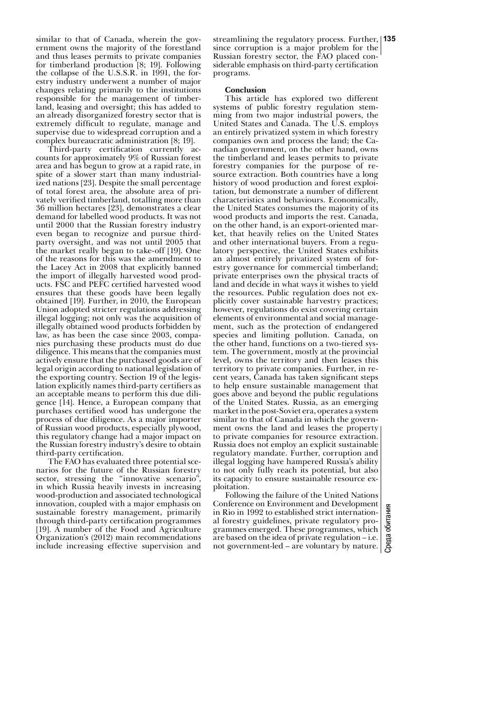ernment owns the majority of the forestland and thus leases permits to private companies for timberland production [8; 19]. Following the collapse of the U.S.S.R. in 1991, the forestry industry underwent a number of major changes relating primarily to the institutions responsible for the management of timberland, leasing and oversight; this has added to an already disorganized forestry sector that is extremely difficult to regulate, manage and supervise due to widespread corruption and a complex bureaucratic administration [8; 19].

Third-party certification currently accounts for approximately 9% of Russian forest area and has begun to grow at a rapid rate, in spite of a slower start than many industrialized nations [23]. Despite the small percentage of total forest area, the absolute area of privately verified timberland, totalling more than 36 million hectares [23], demonstrates a clear demand for labelled wood products. It was not until 2000 that the Russian forestry industry even began to recognize and pursue thirdparty oversight, and was not until 2005 that the market really began to take-off [19]. One of the reasons for this was the amendment to the Lacey Act in 2008 that explicitly banned the import of illegally harvested wood products. FSC and PEFC certified harvested wood ensures that these goods have been legally obtained [19]. Further, in 2010, the European Union adopted stricter regulations addressing illegal logging; not only was the acquisition of illegally obtained wood products forbidden by law, as has been the case since 2003, companies purchasing these products must do due diligence. This means that the companies must actively ensure that the purchased goods are of legal origin according to national legislation of the exporting country. Section 19 of the legislation explicitly names third-party certifiers as an acceptable means to perform this due diligence [14]. Hence, a European company that purchases certified wood has undergone the process of due diligence. As a major importer of Russian wood products, especially plywood, this regulatory change had a major impact on the Russian forestry industry's desire to obtain third-party certification.

The FAO has evaluated three potential scenarios for the future of the Russian forestry sector, stressing the "innovative scenario", in which Russia heavily invests in increasing wood-production and associated technological innovation, coupled with a major emphasis on sustainable forestry management, primarily through third-party certification programmes [19]. A number of the Food and Agriculture Organization's (2012) main recommendations include increasing effective supervision and

similar to that of Canada, wherein the gov- streamlining the regulatory process. Further, 1**35** since corruption is a major problem for the Russian forestry sector, the FAO placed considerable emphasis on third-party certification programs.

#### **Conclusion**

This article has explored two different systems of public forestry regulation stemming from two major industrial powers, the United States and Canada. The U.S. employs an entirely privatized system in which forestry companies own and process the land; the Canadian government, on the other hand, owns the timberland and leases permits to private forestry companies for the purpose of resource extraction. Both countries have a long history of wood production and forest exploitation, but demonstrate a number of different characteristics and behaviours. Economically, the United States consumes the majority of its wood products and imports the rest. Canada, on the other hand, is an export-oriented market, that heavily relies on the United States and other international buyers. From a regulatory perspective, the United States exhibits an almost entirely privatized system of forestry governance for commercial timberland; private enterprises own the physical tracts of land and decide in what ways it wishes to yield the resources. Public regulation does not explicitly cover sustainable harvestry practices; however, regulations do exist covering certain elements of environmental and social management, such as the protection of endangered species and limiting pollution. Canada, on the other hand, functions on a two-tiered system. The government, mostly at the provincial level, owns the territory and then leases this territory to private companies. Further, in recent years, Canada has taken significant steps to help ensure sustainable management that goes above and beyond the public regulations of the United States. Russia, as an emerging market in the post-Soviet era, operates a system similar to that of Canada in which the government owns the land and leases the property to private companies for resource extraction. Russia does not employ an explicit sustainable regulatory mandate. Further, corruption and illegal logging have hampered Russia's ability to not only fully reach its potential, but also its capacity to ensure sustainable resource exploitation.

Following the failure of the United Nations Conference on Environment and Development in Rio in 1992 to established strict international forestry guidelines, private regulatory programmes emerged. These programmes, which are based on the idea of private regulation – i.e. not government-led – are voluntary by nature.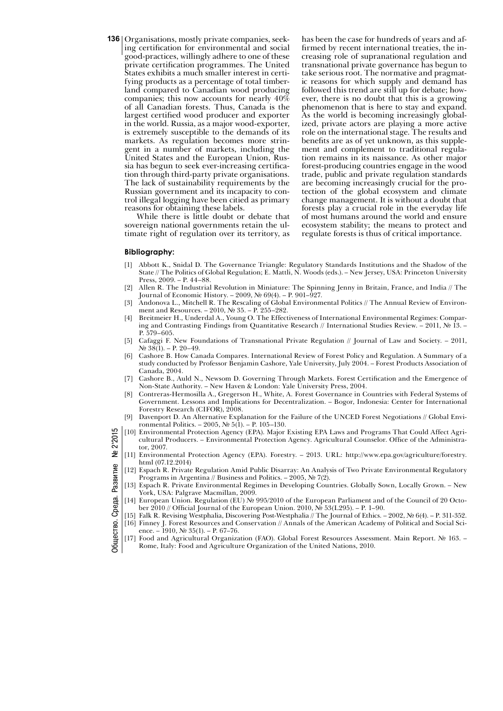**136** | Organisations, mostly private companies, seeking certification for environmental and social good-practices, willingly adhere to one of these private certification programmes. The United States exhibits a much smaller interest in certifying products as a percentage of total timberland compared to Canadian wood producing companies; this now accounts for nearly 40% of all Canadian forests. Thus, Canada is the largest certified wood producer and exporter in the world. Russia, as a major wood-exporter, is extremely susceptible to the demands of its markets. As regulation becomes more stringent in a number of markets, including the United States and the European Union, Russia has begun to seek ever-increasing certification through third-party private organisations. The lack of sustainability requirements by the Russian government and its incapacity to control illegal logging have been citied as primary reasons for obtaining these labels.

While there is little doubt or debate that sovereign national governments retain the ultimate right of regulation over its territory, as

has been the case for hundreds of years and affirmed by recent international treaties, the increasing role of supranational regulation and transnational private governance has begun to take serious root. The normative and pragmatic reasons for which supply and demand has followed this trend are still up for debate; however, there is no doubt that this is a growing phenomenon that is here to stay and expand. As the world is becoming increasingly globalized, private actors are playing a more active role on the international stage. The results and benefits are as of yet unknown, as this supplement and complement to traditional regulation remains in its naissance. As other major forest-producing countries engage in the wood trade, public and private regulation standards are becoming increasingly crucial for the protection of the global ecosystem and climate change management. It is without a doubt that forests play a crucial role in the everyday life of most humans around the world and ensure ecosystem stability; the means to protect and regulate forests is thus of critical importance.

#### **Bibliography:**

- [1] Abbott K., Snidal D. The Governance Triangle: Regulatory Standards Institutions and the Shadow of the State // The Politics of Global Regulation; E. Mattli, N. Woods (eds.). – New Jersey, USA: Princeton University Press, 2009. – P. 44–88.
- [2] Allen R. The Industrial Revolution in Miniature: The Spinning Jenny in Britain, France, and India // The Journal of Economic History. – 2009, № 69(4). – P. 901–927.
- [3] Andonova L., Mitchell R. The Rescaling of Global Environmental Politics // The Annual Review of Environment and Resources. – 2010, № 35. – P. 255–282.
- [4] Breitmeier H., Underdal A., Young O. The Effectiveness of International Environmental Regimes: Comparing and Contrasting Findings from Quantitative Research // International Studies Review. – 2011, № 13. – P. 579–605.
- [5] Cafaggi F. New Foundations of Transnational Private Regulation // Journal of Law and Society. 2011,  $\mathcal{N} \simeq 38(1)$ . – P. 20–49.
- [6] Cashore B. How Canada Compares. International Review of Forest Policy and Regulation. A Summary of a study conducted by Professor Benjamin Cashore, Yale University, July 2004. – Forest Products Association of Canada, 2004.
- [7] Cashore B., Auld N., Newsom D. Governing Through Markets. Forest Certification and the Emergence of Non-State Authority. – New Haven & London: Yale University Press, 2004.
- [8] Contreras-Hermosilla A., Gregerson H., White, A. Forest Governance in Countries with Federal Systems of Government. Lessons and Implications for Decentralization. – Bogor, Indonesia: Center for International Forestry Research (CIFOR), 2008.
- [9] Davenport D. An Alternative Explanation for the Failure of the UNCED Forest Negotiations // Global Environmental Politics. – 2005, № 5(1). – P. 105–130.
- [10] Environmental Protection Agency (EPA). Major Existing EPA Laws and Programs That Could Affect Agricultural Producers. – Environmental Protection Agency. Agricultural Counselor. Office of the Administrator, 2007.
- [11] Environmental Protection Agency (EPA). Forestry. 2013. URL: http://www.epa.gov/agriculture/forestry. html (07.12.2014)
- [12] Espach R. Private Regulation Amid Public Disarray: An Analysis of Two Private Environmental Regulatory Programs in Argentina // Business and Politics. – 2005, № 7(2).
- [13] Espach R. Private Environmental Regimes in Developing Countries. Globally Sown, Locally Grown. New York, USA: Palgrave Macmillan, 2009.
- [14] European Union. Regulation (EU) № 995/2010 of the European Parliament and of the Council of 20 October 2010 // Official Journal of the European Union. 2010, № 53(L295). – P. 1–90.
- [15] Falk R. Revising Westphalia, Discovering Post-Westphalia // The Journal of Ethics. 2002, № 6(4). P. 311-352. [16] Finney J. Forest Resources and Conservation // Annals of the American Academy of Political and Social Sci-
- ence. 1910, № 35(1). P. 67–76. [17] Food and Agricultural Organization (FAO). Global Forest Resources Assessment. Main Report. № 163. –
- Rome, Italy: Food and Agriculture Organization of the United Nations, 2010.